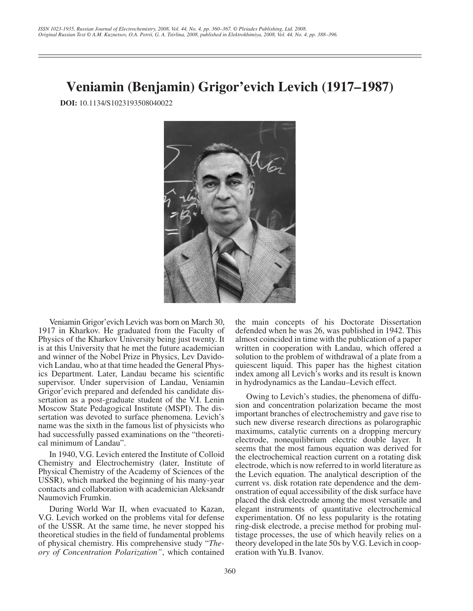## **Veniamin (Benjamin) Grigor'evich Levich (1917–1987)**

**DOI:** 10.1134/S1023193508040022



Veniamin Grigor'evich Levich was born on March 30, 1917 in Kharkov. He graduated from the Faculty of Physics of the Kharkov University being just twenty. It is at this University that he met the future academician and winner of the Nobel Prize in Physics, Lev Davidovich Landau, who at that time headed the General Physics Department. Later, Landau became his scientific supervisor. Under supervision of Landau, Veniamin Grigor'evich prepared and defended his candidate dissertation as a post-graduate student of the V.I. Lenin Moscow State Pedagogical Institute (MSPI). The dissertation was devoted to surface phenomena. Levich's name was the sixth in the famous list of physicists who had successfully passed examinations on the "theoretical minimum of Landau".

In 1940, V.G. Levich entered the Institute of Colloid Chemistry and Electrochemistry (later, Institute of Physical Chemistry of the Academy of Sciences of the USSR), which marked the beginning of his many-year contacts and collaboration with academician Aleksandr Naumovich Frumkin.

During World War II, when evacuated to Kazan, V.G. Levich worked on the problems vital for defense of the USSR. At the same time, he never stopped his theoretical studies in the field of fundamental problems of physical chemistry. His comprehensive study "*Theory of Concentration Polarization"*, which contained the main concepts of his Doctorate Dissertation defended when he was 26, was published in 1942. This almost coincided in time with the publication of a paper written in cooperation with Landau, which offered a solution to the problem of withdrawal of a plate from a quiescent liquid. This paper has the highest citation index among all Levich's works and its result is known in hydrodynamics as the Landau–Levich effect.

Owing to Levich's studies, the phenomena of diffusion and concentration polarization became the most important branches of electrochemistry and gave rise to such new diverse research directions as polarographic maximums, catalytic currents on a dropping mercury electrode, nonequilibrium electric double layer. It seems that the most famous equation was derived for the electrochemical reaction current on a rotating disk electrode, which is now referred to in world literature as the Levich equation. The analytical description of the current vs. disk rotation rate dependence and the demonstration of equal accessibility of the disk surface have placed the disk electrode among the most versatile and elegant instruments of quantitative electrochemical experimentation. Of no less popularity is the rotating ring-disk electrode, a precise method for probing multistage processes, the use of which heavily relies on a theory developed in the late 50s by V.G. Levich in cooperation with Yu.B. Ivanov.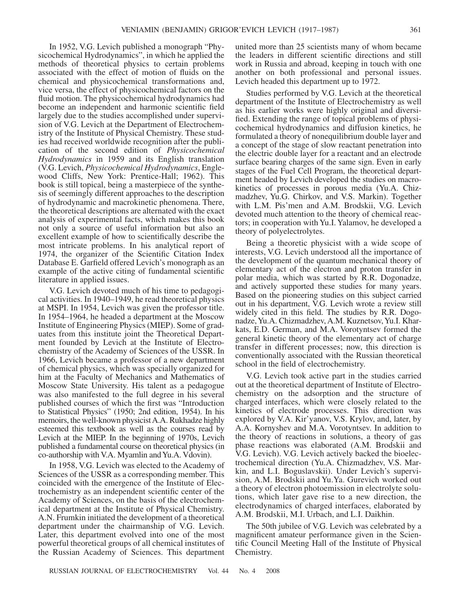In 1952, V.G. Levich published a monograph "Physicochemical Hydrodynamics", in which he applied the methods of theoretical physics to certain problems associated with the effect of motion of fluids on the chemical and physicochemical transformations and, vice versa, the effect of physicochemical factors on the fluid motion. The physicochemical hydrodynamics had become an independent and harmonic scientific field largely due to the studies accomplished under supervision of V.G. Levich at the Department of Electrochemistry of the Institute of Physical Chemistry. These studies had received worldwide recognition after the publication of the second edition of *Physicochemical Hydrodynamics* in 1959 and its English translation (V.G. Levich, *Physicochemical Hydrodynamics*, Englewood Cliffs, New York: Prentice-Hall; 1962). This book is still topical, being a masterpiece of the synthesis of seemingly different approaches to the description of hydrodynamic and macrokinetic phenomena. There, the theoretical descriptions are alternated with the exact analysis of experimental facts, which makes this book not only a source of useful information but also an excellent example of how to scientifically describe the most intricate problems. In his analytical report of 1974, the organizer of the Scientific Citation Index Database E. Garfield offered Levich's monograph as an example of the active citing of fundamental scientific literature in applied issues.

V.G. Levich devoted much of his time to pedagogical activities. In 1940–1949, he read theoretical physics at MSPI. In 1954, Levich was given the professor title. In 1954–1964, he headed a department at the Moscow Institute of Engineering Physics (MIEP). Some of graduates from this institute joint the Theoretical Department founded by Levich at the Institute of Electrochemistry of the Academy of Sciences of the USSR. In 1966, Levich became a professor of a new department of chemical physics, which was specially organized for him at the Faculty of Mechanics and Mathematics of Moscow State University. His talent as a pedagogue was also manifested to the full degree in his several published courses of which the first was "Introduction to Statistical Physics" (1950; 2nd edition, 1954). In his memoirs, the well-known physicist A.A. Rukhadze highly esteemed this textbook as well as the courses read by Levich at the MIEP. In the beginning of 1970s, Levich published a fundamental course on theoretical physics (in co-authorship with V.A. Myamlin and Yu.A. Vdovin).

In 1958, V.G. Levich was elected to the Academy of Sciences of the USSR as a corresponding member. This coincided with the emergence of the Institute of Electrochemistry as an independent scientific center of the Academy of Sciences, on the basis of the electrochemical department at the Institute of Physical Chemistry. A.N. Frumkin initiated the development of a theoretical department under the chairmanship of V.G. Levich. Later, this department evolved into one of the most powerful theoretical groups of all chemical institutes of the Russian Academy of Sciences. This department united more than 25 scientists many of whom became the leaders in different scientific directions and still work in Russia and abroad, keeping in touch with one another on both professional and personal issues. Levich headed this department up to 1972.

Studies performed by V.G. Levich at the theoretical department of the Institute of Electrochemistry as well as his earlier works were highly original and diversified. Extending the range of topical problems of physicochemical hydrodynamics and diffusion kinetics, he formulated a theory of nonequilibrium double layer and a concept of the stage of slow reactant penetration into the electric double layer for a reactant and an electrode surface bearing charges of the same sign. Even in early stages of the Fuel Cell Program, the theoretical department headed by Levich developed the studies on macrokinetics of processes in porous media (Yu.A. Chizmadzhev, Yu.G. Chirkov, and V.S. Markin). Together with L.M. Pis'men and A.M. Brodskii, V.G. Levich devoted much attention to the theory of chemical reactors; in cooperation with Yu.I. Yalamov, he developed a theory of polyelectrolytes.

Being a theoretic physicist with a wide scope of interests, V.G. Levich understood all the importance of the development of the quantum mechanical theory of elementary act of the electron and proton transfer in polar media, which was started by R.R. Dogonadze, and actively supported these studies for many years. Based on the pioneering studies on this subject carried out in his department, V.G. Levich wrote a review still widely cited in this field. The studies by R.R. Dogonadze, Yu.A. Chizmadzhev, A.M. Kuznetsov, Yu.I. Kharkats, E.D. German, and M.A. Vorotyntsev formed the general kinetic theory of the elementary act of charge transfer in different processes; now, this direction is conventionally associated with the Russian theoretical school in the field of electrochemistry.

V.G. Levich took active part in the studies carried out at the theoretical department of Institute of Electrochemistry on the adsorption and the structure of charged interfaces, which were closely related to the kinetics of electrode processes. This direction was explored by V.A. Kir'yanov, V.S. Krylov, and, later, by A.A. Kornyshev and M.A. Vorotyntsev. In addition to the theory of reactions in solutions, a theory of gas phase reactions was elaborated (A.M. Brodskii and V.G. Levich). V.G. Levich actively backed the bioelectrochemical direction (Yu.A. Chizmadzhev, V.S. Markin, and L.I. Boguslavskii). Under Levich's supervision, A.M. Brodskii and Yu.Ya. Gurevich worked out a theory of electron photoemission in electrolyte solutions, which later gave rise to a new direction, the electrodynamics of charged interfaces, elaborated by A.M. Brodskii, M.I. Urbach, and L.I. Daikhin.

The 50th jubilee of V.G. Levich was celebrated by a magnificent amateur performance given in the Scientific Council Meeting Hall of the Institute of Physical Chemistry.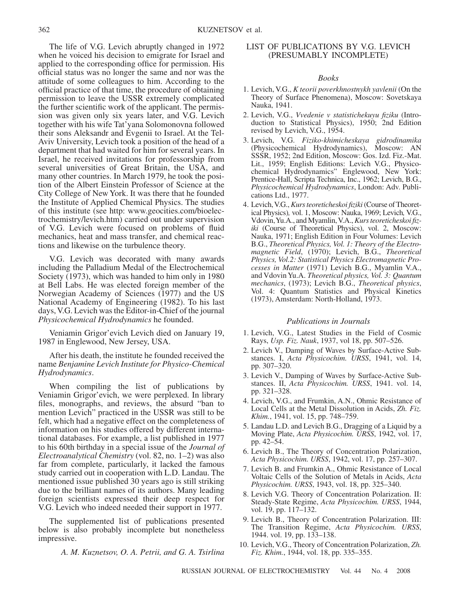The life of V.G. Levich abruptly changed in 1972 when he voiced his decision to emigrate for Israel and applied to the corresponding office for permission. His official status was no longer the same and nor was the attitude of some colleagues to him. According to the official practice of that time, the procedure of obtaining permission to leave the USSR extremely complicated the further scientific work of the applicant. The permission was given only six years later, and V.G. Levich together with his wife Tat'yana Solomonovna followed their sons Aleksandr and Evgenii to Israel. At the Tel-Aviv University, Levich took a position of the head of a department that had waited for him for several years. In Israel, he received invitations for professorship from several universities of Great Britain, the USA, and many other countries. In March 1979, he took the position of the Albert Einstein Professor of Science at the City College of New York. It was there that he founded the Institute of Applied Chemical Physics. The studies of this institute (see http: www.geocities.com/bioelectrochemistry/levich.htm) carried out under supervision of V.G. Levich were focused on problems of fluid mechanics, heat and mass transfer, and chemical reactions and likewise on the turbulence theory.

V.G. Levich was decorated with many awards including the Palladium Medal of the Electrochemical Society (1973), which was handed to him only in 1980 at Bell Labs. He was elected foreign member of the Norwegian Academy of Sciences (1977) and the US National Academy of Engineering (1982). To his last days, V.G. Levich was the Editor-in-Chief of the journal *Physicochemical Hydrodynamics* he founded.

Veniamin Grigor'evich Levich died on January 19, 1987 in Englewood, New Jersey, USA.

After his death, the institute he founded received the name *Benjamine Levich Institute for Physico-Chemical Hydrodynamics*.

When compiling the list of publications by Veniamin Grigor'evich, we were perplexed. In library files, monographs, and reviews, the absurd "ban to mention Levich" practiced in the USSR was still to be felt, which had a negative effect on the completeness of information on his studies offered by different international databases. For example, a list published in 1977 to his 60th birthday in a special issue of the *Journal of Electroanalytical Chemistry* (vol. 82, no. 1–2) was also far from complete, particularly, it lacked the famous study carried out in cooperation with L.D. Landau. The mentioned issue published 30 years ago is still striking due to the brilliant names of its authors. Many leading foreign scientists expressed their deep respect for V.G. Levich who indeed needed their support in 1977.

The supplemented list of publications presented below is also probably incomplete but nonetheless impressive.

*A. M. Kuznetsov, O. A. Petrii, and G. A. Tsirlina*

## LIST OF PUBLICATIONS BY V.G. LEVICH (PRESUMABLY INCOMPLETE)

## *Books*

- 1. Levich, V.G., *K teorii poverkhnostnykh yavlenii* (On the Theory of Surface Phenomena), Moscow: Sovetskaya Nauka, 1941.
- 2. Levich, V.G., *Vvedenie v statistichekuyu fiziku* (Introduction to Statistical Physics), 1950; 2nd Edition revised by Levich, V.G., 1954.
- 3. Levich, V.G. *Fiziko-khimicheskaya gidrodinamika* (Physicochemical Hydrodynamics), Moscow: AN SSSR, 1952; 2nd Edition, Moscow: Gos. Izd. Fiz.-Mat. Lit., 1959; English Editions: Levich V.G., Physicochemical Hydrodynamics" Englewood, New York: Prentice-Hall, Scripta Technica, Inc., 1962; Levich, B.G., *Physicochemical Hydrodynamics*, London: Adv. Publications Ltd., 1977.
- 4. Levich, V.G., *Kurs teoreticheskoi fiziki* (Course of Theoretical Physics)*,* vol. 1, Moscow: Nauka, 1969; Levich*,* V.G., Vdovin, Yu.A., and Myamlin, V.A., *Kurs teoreticheskoi fiziki* (Course of Theoretical Physics), vol. 2, Moscow: Nauka, 1971; English Edition in Four Volumes: Levich B.G., *Theoretical Physics, Vol. 1: Theory of the Electromagnetic Field*, (1970); Levich, B.G., *Theoretical Physics, Vol.2: Statistical Physics Electromagnetic Processes in Matter* (1971) Levich B.G., Myamlin V.A., and Vdovin Yu.A. *Theoretical physics, Vol. 3: Quantum mechanics*, (1973); Levich B.G., *Theoretical physics*, Vol. 4: Quantum Statistics and Physical Kinetics (1973), Amsterdam: North-Holland, 1973.

## *Publications in Journals*

- 1. Levich, V.G., Latest Studies in the Field of Cosmic Rays, *Usp. Fiz. Nauk*, 1937, vol 18, pp. 507–526.
- 2. Levich V., Damping of Waves by Surface-Active Substances. I, *Acta Physicochim. URSS*, 1941, vol. 14, pp. 307–320.
- 3. Levich V., Damping of Waves by Surface-Active Substances. II, *Acta Physicochim. URSS*, 1941. vol. 14, pp. 321–328.
- 4. Levich, V.G., and Frumkin, A.N., Ohmic Resistance of Local Cells at the Metal Dissolution in Acids, *Zh. Fiz. Khim.*, 1941, vol. 15, pp. 748–759.
- 5. Landau L.D. and Levich B.G., Dragging of a Liquid by a Moving Plate, *Acta Physicochim. URSS*, 1942, vol. 17, pp. 42–54.
- 6. Levich B., The Theory of Concentration Polarization, *Acta Physicochim. URSS*, 1942, vol. 17, pp. 257–307.
- 7. Levich B. and Frumkin A., Ohmic Resistance of Local Voltaic Cells of the Solution of Metals in Acids, *Acta Physicochim. URSS*, 1943, vol. 18, pp. 325–340.
- 8. Levich V.G. Theory of Concentration Polarization. II: Steady-State Regime, *Acta Physicochim. URSS*, 1944, vol. 19, pp. 117–132.
- 9. Levich B., Theory of Concentration Polarization. III: The Transition Regime, *Acta Physicochim. URSS*, 1944. vol. 19, pp. 133–138.
- 10. Levich, V.G., Theory of Concentration Polarization, *Zh. Fiz. Khim.*, 1944, vol. 18, pp. 335–355.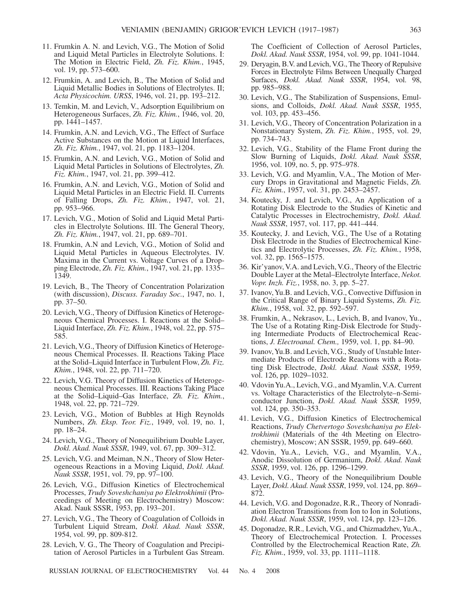- 11. Frumkin A. N. and Levich, V.G., The Motion of Solid and Liquid Metal Particles in Electrolyte Solutions. I: The Motion in Electric Field, *Zh. Fiz. Khim.*, 1945, vol. 19, pp. 573–600.
- 12. Frumkin, A. and Levich, B., The Motion of Solid and Liquid Metallic Bodies in Solutions of Electrolytes. II; *Acta Physicochim. URSS*, 1946, vol. 21, pp. 193–212.
- 13. Temkin, M. and Levich, V., Adsorption Equilibrium on Heterogeneous Surfaces, *Zh. Fiz. Khim.*, 1946, vol. 20, pp. 1441–1457.
- 14. Frumkin, A.N. and Levich, V.G., The Effect of Surface Active Substances on the Motion at Liquid Interfaces, *Zh. Fiz. Khim.*, 1947, vol. 21, pp. 1183–1204.
- 15. Frumkin, A.N. and Levich, V.G., Motion of Solid and Liquid Metal Particles in Solutions of Electrolytes, *Zh. Fiz. Khim.*, 1947, vol. 21, pp. 399–412.
- 16. Frumkin, A.N. and Levich, V.G., Motion of Solid and Liquid Metal Particles in an Electric Field. II. Currents of Falling Drops, *Zh. Fiz. Khim.*, 1947, vol. 21, pp. 953−966.
- 17. Levich, V.G., Motion of Solid and Liquid Metal Particles in Electrolyte Solutions. III. The General Theory, *Zh. Fiz. Khim.*, 1947, vol. 21, pp. 689–701.
- 18. Frumkin, A.N and Levich, V.G., Motion of Solid and Liquid Metal Particles in Aqueous Electrolytes. IV. Maxima in the Current vs. Voltage Curves of a Dropping Electrode, *Zh. Fiz. Khim.*, 1947, vol. 21, pp. 1335– 1349.
- 19. Levich, B., The Theory of Concentration Polarization (with discussion), *Discuss. Faraday Soc.*, 1947, no. 1, pp. 37–50.
- 20. Levich, V.G., Theory of Diffusion Kinetics of Heterogeneous Chemical Processes. I. Reactions at the Solid– Liquid Interface, *Zh. Fiz. Khim.*, 1948, vol. 22, pp. 575– 585.
- 21. Levich, V.G., Theory of Diffusion Kinetics of Heterogeneous Chemical Processes. II. Reactions Taking Place at the Solid–Liquid Interface in Turbulent Flow, *Zh. Fiz. Khim.*, 1948, vol. 22, pp. 711–720.
- 22. Levich, V.G. Theory of Diffusion Kinetics of Heterogeneous Chemical Processes. III. Reactions Taking Place at the Solid–Liquid–Gas Interface, *Zh. Fiz. Khim.*, 1948, vol. 22, pp. 721–729.
- 23. Levich, V.G., Motion of Bubbles at High Reynolds Numbers, *Zh. Eksp. Teor. Fiz.*, 1949, vol. 19, no. 1, pp. 18–24.
- 24. Levich, V.G., Theory of Nonequilibrium Double Layer, *Dokl. Akad. Nauk SSSR*, 1949, vol. 67, pp. 309–312.
- 25. Levich, V.G. and Meiman, N.N., Theory of Slow Heterogeneous Reactions in a Moving Liquid, *Dokl. Akad. Nauk SSSR*, 1951, vol. 79, pp. 97–100.
- 26. Levich, V.G., Diffusion Kinetics of Electrochemical Processes, *Trudy Soveshchaniya po Elektrokhimii* (Proceedings of Meeting on Electrochemistry) Moscow: Akad. Nauk SSSR, 1953, pp. 193–201.
- 27. Levich, V.G., The Theory of Coagulation of Colloids in Turbulent Liquid Stream, *Dokl. Akad. Nauk SSSR*, 1954, vol. 99, pp. 809-812.
- 28. Levich, V. G., The Theory of Coagulation and Precipitation of Aerosol Particles in a Turbulent Gas Stream.

The Coefficient of Collection of Aerosol Particles, *Dokl. Akad. Nauk SSSR*, 1954, vol. 99, pp. 1041-1044.

- 29. Deryagin, B.V. and Levich, V.G., The Theory of Repulsive Forces in Electrolyte Films Between Unequally Charged Surfaces, *Dokl. Akad. Nauk SSSR*, 1954, vol. 98, pp. 985−988.
- 30. Levich, V.G., The Stabilization of Suspensions, Emulsions, and Colloids, *Dokl. Akad. Nauk SSSR*, 1955, vol. 103, pp. 453–456.
- 31. Levich, V.G., Theory of Concentration Polarization in a Nonstationary System, *Zh. Fiz. Khim.*, 1955, vol. 29, pp. 734–743.
- 32. Levich, V.G., Stability of the Flame Front during the Slow Burning of Liquids, *Dokl. Akad. Nauk SSSR*, 1956, vol. 109, no. 5, pp. 975–978.
- 33. Levich, V.G. and Myamlin, V.A., The Motion of Mercury Drops in Gravitational and Magnetic Fields, *Zh. Fiz. Khim.*, 1957, vol. 31, pp. 2453–2457.
- 34. Koutecky, J. and Levich, V.G., An Application of a Rotating Disk Electrode to the Studies of Kinetic and Catalytic Processes in Electrochemistry, *Dokl. Akad. Nauk SSSR*, 1957, vol. 117, pp. 441–444.
- 35. Koutecky, J. and Levich, V.G., The Use of a Rotating Disk Electrode in the Studies of Electrochemical Kinetics and Electrolytic Processes, *Zh. Fiz. Khim.*, 1958, vol. 32, pp. 1565–1575.
- 36. Kir'yanov, V.A. and Levich, V.G., Theory of the Electric Double Layer at the Metal–Electrolyte Interface, *Nekot. Vopr. Inzh. Fiz.*, 1958, no. 3, pp. 5–27.
- 37. Ivanov, Yu.B. and Levich, V.G., Convective Diffusion in the Critical Range of Binary Liquid Systems, *Zh. Fiz. Khim.*, 1958, vol. 32, pp. 592–597.
- 38. Frumkin, A., Nekrasov, L., Levich, B, and Ivanov, Yu., The Use of a Rotating Ring-Disk Electrode for Studying Intermediate Products of Electrochemical Reactions, *J. Electroanal. Chem.,* 1959, vol. 1, pp. 84–90.
- 39. Ivanov, Yu.B. and Levich, V.G., Study of Unstable Intermediate Products of Electrode Reactions with a Rotating Disk Electrode, *Dokl. Akad. Nauk SSSR*, 1959, vol. 126, pp. 1029–1032.
- 40. Vdovin Yu.A., Levich, V.G., and Myamlin, V.A. Current vs. Voltage Characteristics of the Electrolyte–n-Semiconductor Junction, *Dokl. Akad. Nauk SSSR,* 1959, vol. 124, pp. 350–353.
- 41. Levich, V.G., Diffusion Kinetics of Electrochemical Reactions, *Trudy Chetvertogo Soveshchaniya po Elektrokhimii* (Materials of the 4th Meeting on Electrochemistry), Moscow; AN SSSR, 1959, pp. 649–660.
- 42. Vdovin, Yu.A., Levich, V.G., and Myamlin, V.A., Anodic Dissolution of Germanium, *Dokl. Akad. Nauk SSSR*, 1959, vol. 126, pp. 1296–1299.
- 43. Levich, V.G., Theory of the Nonequilibrium Double Layer, *Dokl. Akad. Nauk SSSR*, 1959, vol. 124, pp. 869– 872.
- 44. Levich, V.G. and Dogonadze, R.R., Theory of Nonradiation Electron Transitions from Ion to Ion in Solutions, *Dokl. Akad. Nauk SSSR*, 1959, vol. 124, pp. 123–126.
- 45. Dogonadze, R.R., Levich, V.G., and Chizmadzhev, Yu.A., Theory of Electrochemical Protection. I. Processes Controlled by the Electrochemical Reaction Rate, *Zh. Fiz. Khim.*, 1959, vol. 33, pp. 1111–1118.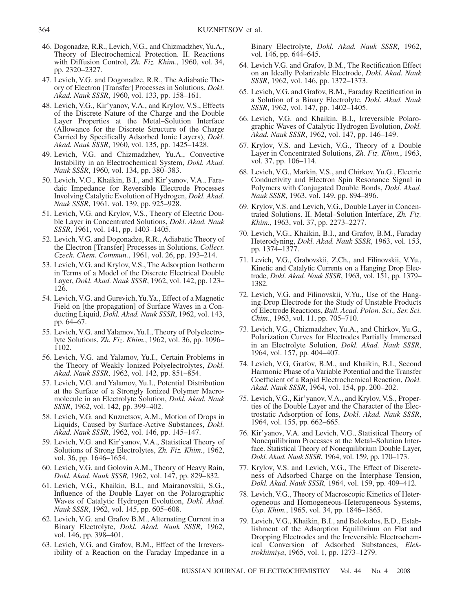- 46. Dogonadze, R.R., Levich, V.G., and Chizmadzhev, Yu.A., Theory of Electrochemical Protection. II. Reactions with Diffusion Control, *Zh. Fiz. Khim.*, 1960, vol. 34, pp. 2320–2327.
- 47. Levich, V.G. and Dogonadze, R.R., The Adiabatic Theory of Electron [Transfer] Processes in Solutions, *Dokl. Akad. Nauk SSSR*, 1960, vol. 133, pp. 158–161.
- 48. Levich, V.G., Kir'yanov, V.A., and Krylov, V.S., Effects of the Discrete Nature of the Charge and the Double Layer Properties at the Metal–Solution Interface (Allowance for the Discrete Structure of the Charge Carried by Specifically Adsorbed Ionic Layers), *Dokl. Akad. Nauk SSSR*, 1960, vol. 135, pp. 1425–1428.
- 49. Levich, V.G. and Chizmadzhev, Yu.A., Convective Instability in an Electrochemical System, *Dokl. Akad. Nauk SSSR*, 1960, vol. 134, pp. 380–383.
- 50. Levich, V.G., Khaikin, B.I., and Kir'yanov, V.A., Faradaic Impedance for Reversible Electrode Processes Involving Catalytic Evolution of Hydrogen, *Dokl. Akad. Nauk SSSR*, 1961, vol. 139, pp. 925–928.
- 51. Levich, V.G. and Krylov, V.S., Theory of Electric Double Layer in Concentrated Solutions, *Dokl. Akad. Nauk SSSR*, 1961, vol. 141, pp. 1403–1405.
- 52. Levich, V.G. and Dogonadze, R.R., Adiabatic Theory of the Electron [Transfer] Processes in Solutions, *Collect. Czech. Chem. Commun.*, 1961, vol. 26, pp. 193–214.
- 53. Levich, V.G. and Krylov, V.S., The Adsorption Isotherm in Terms of a Model of the Discrete Electrical Double Layer, *Dokl. Akad. Nauk SSSR*, 1962, vol. 142, pp. 123– 126.
- 54. Levich, V.G. and Gurevich, Yu.Ya., Effect of a Magnetic Field on [the propagation] of Surface Waves in a Conducting Liquid, *Dokl. Akad. Nauk SSSR*, 1962, vol. 143, pp. 64–67.
- 55. Levich, V.G. and Yalamov, Yu.I., Theory of Polyelectrolyte Solutions, *Zh. Fiz. Khim.*, 1962, vol. 36, pp. 1096– 1102.
- 56. Levich, V.G. and Yalamov, Yu.I., Certain Problems in the Theory of Weakly Ionized Polyelectrolytes, *Dokl. Akad. Nauk SSSR*, 1962, vol. 142, pp. 851–854.
- 57. Levich, V.G. and Yalamov, Yu.I., Potential Distribution at the Surface of a Strongly Ionized Polymer Macromolecule in an Electrolyte Solution, *Dokl. Akad. Nauk SSSR*, 1962, vol. 142, pp. 399–402.
- 58. Levich, V.G. and Kuznetsov, A.M., Motion of Drops in Liquids, Caused by Surface-Active Substances, *Dokl. Akad. Nauk SSSR*, 1962, vol. 146, pp. 145–147.
- 59. Levich, V.G. and Kir'yanov, V.A., Statistical Theory of Solutions of Strong Electrolytes, *Zh. Fiz. Khim.*, 1962, vol. 36, pp. 1646–1654.
- 60. Levich, V.G. and Golovin A.M., Theory of Heavy Rain, *Dokl. Akad. Nauk SSSR,* 1962, vol. 147, pp. 829–832.
- 61. Levich, V.G., Khaikin, B.I., and Mairanovskii, S.G., Influence of the Double Layer on the Polarographic Waves of Catalytic Hydrogen Evolution, *Dokl. Akad. Nauk SSSR*, 1962, vol. 145, pp. 605–608.
- 62. Levich, V.G. and Grafov B.M., Alternating Current in a Binary Electrolyte, *Dokl. Akad. Nauk SSSR*, 1962, vol. 146, pp. 398–401.
- 63. Levich, V.G. and Grafov, B.M., Effect of the Irreversibility of a Reaction on the Faraday Impedance in a

Binary Electrolyte, *Dokl. Akad. Nauk SSSR*, 1962, vol. 146, pp. 644–645.

- 64. Levich V.G. and Grafov, B.M., The Rectification Effect on an Ideally Polarizable Electrode, *Dokl. Akad. Nauk SSSR*, 1962, vol. 146, pp. 1372–1373.
- 65. Levich, V.G. and Grafov, B.M., Faraday Rectification in a Solution of a Binary Electrolyte, *Dokl. Akad. Nauk SSSR*, 1962, vol. 147, pp. 1402–1405.
- 66. Levich, V.G. and Khaikin, B.I., Irreversible Polarographic Waves of Catalytic Hydrogen Evolution, *Dokl. Akad. Nauk SSSR*, 1962, vol. 147, pp. 146–149.
- 67. Krylov, V.S. and Levich, V.G., Theory of a Double Layer in Concentrated Solutions, *Zh. Fiz. Khim.*, 1963, vol. 37, pp. 106–114.
- 68. Levich, V.G., Markin, V.S., and Chirkov, Yu.G., Electric Conductivity and Electron Spin Resonance Signal in Polymers with Conjugated Double Bonds, *Dokl. Akad. Nauk SSSR*, 1963, vol. 149, pp. 894–896.
- 69. Krylov, V.S. and Levich, V.G., Double Layer in Concentrated Solutions. II. Metal–Solution Interface, *Zh. Fiz. Khim.*, 1963, vol. 37, pp. 2273–2277.
- 70. Levich, V.G., Khaikin, B.I., and Grafov, B.M., Faraday Heterodyning, *Dokl. Akad. Nauk SSSR*, 1963, vol. 153, pp. 1374–1377.
- 71. Levich, V.G., Grabovskii, Z.Ch., and Filinovskii, V.Yu., Kinetic and Catalytic Currents on a Hanging Drop Electrode, *Dokl. Akad. Nauk SSSR*, 1963, vol. 151, pp. 1379– 1382.
- 72. Levich, V.G. and Filinovskii, V.Yu., Use of the Hanging-Drop Electrode for the Study of Unstable Products of Electrode Reactions, *Bull. Acad. Polon. Sci., Ser. Sci. Chim.*, 1963, vol. 11, pp. 705–710.
- 73. Levich, V.G., Chizmadzhev, Yu.A., and Chirkov, Yu.G., Polarization Curves for Electrodes Partially Immersed in an Electrolyte Solution, *Dokl. Akad. Nauk SSSR*, 1964, vol. 157, pp. 404–407.
- 74. Levich, V.G, Grafov, B.M., and Khaikin, B.I., Second Harmonic Phase of a Variable Potential and the Transfer Coefficient of a Rapid Electrochemical Reaction, *Dokl. Akad. Nauk SSSR*, 1964, vol. 154, pp. 200–202.
- 75. Levich, V.G., Kir'yanov, V.A., and Krylov, V.S., Properties of the Double Layer and the Character of the Electrostatic Adsorption of Ions, *Dokl. Akad. Nauk SSSR*, 1964, vol. 155, pp. 662–665.
- 76. Kir'yanov, V.A. and Levich, V.G., Statistical Theory of Nonequilibrium Processes at the Metal–Solution Interface. Statistical Theory of Nonequilibrium Double Layer, *Dokl. Akad. Nauk SSSR*, 1964, vol. 159, pp. 170–173.
- 77. Krylov, V.S. and Levich, V.G., The Effect of Discreteness of Adsorbed Charge on the Interphase Tension, *Dokl. Akad. Nauk SSSR,* 1964, vol. 159, pp. 409–412.
- 78. Levich, V.G., Theory of Macroscopic Kinetics of Heterogeneous and Homogeneous-Heterogeneous Systems, *Usp. Khim.*, 1965, vol. 34, pp. 1846–1865.
- 79. Levich, V.G., Khaikin, B.I., and Belokolos, E.D., Establishment of the Adsorption Equilibrium on Flat and Dropping Electrodes and the Irreversible Electrochemical Conversion of Adsorbed Substances, *Elektrokhimiya*, 1965, vol. 1, pp. 1273–1279.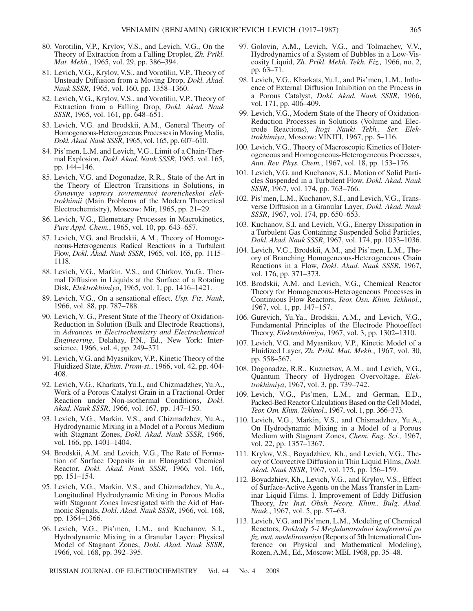- 80. Vorotilin, V.P., Krylov, V.S., and Levich, V.G., On the Theory of Extraction from a Falling Droplet, *Zh. Prikl. Mat. Mekh.*, 1965, vol. 29, pp. 386–394.
- 81. Levich, V.G., Krylov, V.S., and Vorotilin, V.P., Theory of Unsteady Diffusion from a Moving Drop, *Dokl. Akad. Nauk SSSR*, 1965, vol. 160, pp. 1358–1360.
- 82. Levich, V.G., Krylov, V.S., and Vorotilin, V.P., Theory of Extraction from a Falling Drop, *Dokl. Akad. Nauk SSSR*, 1965, vol. 161, pp. 648–651.
- 83. Levich, V.G. and Brodskii, A.M., General Theory of Homogeneous-Heterogeneous Processes in Moving Media, *Dokl. Akad. Nauk SSSR*, 1965, vol. 165, pp. 607–610.
- 84. Pis'men, L.M. and Levich, V.G., Limit of a Chain-Thermal Explosion, *Dokl. Akad. Nauk SSSR*, 1965, vol. 165, pp. 144–146.
- 85. Levich, V.G. and Dogonadze, R.R., State of the Art in the Theory of Electron Transitions in Solutions, in *Osnovnye voprosy sovremennoi teoreticheskoi elektrokhimii* (Main Problems of the Modern Theoretical Electrochemistry), Moscow: Mir, 1965, pp. 21–29.
- 86. Levich, V.G., Elementary Processes in Macrokinetics, *Pure Appl. Chem.*, 1965, vol. 10, pp. 643–657.
- 87. Levich, V.G. and Brodskii, A.M., Theory of Homogeneous-Heterogeneous Radical Reactions in a Turbulent Flow, *Dokl. Akad. Nauk SSSR*, 1965, vol. 165, pp. 1115– 1118.
- 88. Levich, V.G., Markin, V.S., and Chirkov, Yu.G., Thermal Diffusion in Liquids at the Surface of a Rotating Disk, *Elektrokhimiya*, 1965, vol. 1, pp. 1416–1421.
- 89. Levich, V.G., On a sensational effect, *Usp. Fiz. Nauk*, 1966, vol. 88, pp. 787–788.
- 90. Levich, V. G., Present State of the Theory of Oxidation-Reduction in Solution (Bulk and Electrode Reactions), in *Advances in Electrochemistry and Electrochemical Engineering*, Delahay, P.N., Ed., New York: Interscience, 1966, vol. 4, pp. 249–371
- 91. Levich, V.G. and Myasnikov, V.P., Kinetic Theory of the Fluidized State, *Khim. Prom-st.*, 1966, vol. 42, pp. 404- 408.
- 92. Levich, V.G., Kharkats, Yu.I., and Chizmadzhev, Yu.A., Work of a Porous Catalyst Grain in a Fractional-Order Reaction under Non-isothermal Conditions, *Dokl. Akad. Nauk SSSR*, 1966, vol. 167, pp. 147–150.
- 93. Levich, V.G., Markin, V.S., and Chizmadzhev, Yu.A., Hydrodynamic Mixing in a Model of a Porous Medium with Stagnant Zones, *Dokl. Akad. Nauk SSSR*, 1966, vol. 166, pp. 1401–1404.
- 94. Brodskii, A.M. and Levich, V.G., The Rate of Formation of Surface Deposits in an Elongated Chemical Reactor, *Dokl. Akad. Nauk SSSR*, 1966, vol. 166, pp. 151–154.
- 95. Levich, V.G., Markin, V.S., and Chizmadzhev, Yu.A., Longitudinal Hydrodynamic Mixing in Porous Media with Stagnant Zones Investigated with the Aid of Harmonic Signals, *Dokl. Akad. Nauk SSSR*, 1966, vol. 168, pp. 1364–1366.
- 96. Levich, V.G., Pis'men, L.M., and Kuchanov, S.I., Hydrodynamic Mixing in a Granular Layer: Physical Model of Stagnant Zones, *Dokl. Akad. Nauk SSSR*, 1966, vol. 168, pp. 392–395.
- 97. Golovin, A.M., Levich, V.G., and Tolmachev, V.V., Hydrodynamics of a System of Bubbles in a Low-Viscosity Liquid, *Zh. Prikl. Mekh. Tekh. Fiz.,* 1966, no. 2, pp. 63–71.
- 98. Levich, V.G., Kharkats, Yu.I., and Pis'men, L.M., Influence of External Diffusion Inhibition on the Process in a Porous Catalyst, *Dokl. Akad. Nauk SSSR*, 1966, vol. 171, pp. 406–409.
- 99. Levich, V.G., Modern State of the Theory of Oxidation-Reduction Processes in Solutions (Volume and Electrode Reactions), *Itogi Nauki Tekh., Ser. Elektrokhimiya*, Moscow: VINITI, 1967, pp. 5–116.
- 100. Levich, V.G., Theory of Macroscopic Kinetics of Heterogeneous and Homogeneous-Heterogeneous Processes, *Ann. Rev. Phys. Chem.*, 1967, vol. 18, pp. 153–176.
- 101. Levich, V.G. and Kuchanov, S.I., Motion of Solid Particles Suspended in a Turbulent Flow, *Dokl. Akad. Nauk SSSR*, 1967, vol. 174, pp. 763–766.
- 102. Pis'men, L.M., Kuchanov, S.I., and Levich, V.G., Transverse Diffusion in a Granular Layer, *Dokl. Akad. Nauk SSSR*, 1967, vol. 174, pp. 650–653.
- 103. Kuchanov, S.I. and Levich, V.G., Energy Dissipation in a Turbulent Gas Containing Suspended Solid Particles, *Dokl. Akad. Nauk SSSR*, 1967, vol. 174, pp. 1033–1036.
- 104. Levich, V.G., Brodskii, A.M., and Pis'men, L.M., Theory of Branching Homogeneous-Heterogeneous Chain Reactions in a Flow, *Dokl. Akad. Nauk SSSR*, 1967, vol. 176, pp. 371–373.
- 105. Brodskii, A.M. and Levich, V.G., Chemical Reactor Theory for Homogeneous-Heterogeneous Processes in Continuous Flow Reactors, *Teor. Osn. Khim. Tekhnol.*, 1967, vol. 1, pp. 147–157.
- 106. Gurevich, Yu.Ya., Brodskii, A.M., and Levich, V.G., Fundamental Principles of the Electrode Photoeffect Theory, *Elektrokhimiya*, 1967, vol. 3, pp. 1302–1310.
- 107. Levich, V.G. and Myasnikov, V.P., Kinetic Model of a Fluidized Layer, *Zh. Prikl. Mat. Mekh.*, 1967, vol. 30, pp. 558–567.
- 108. Dogonadze, R.R., Kuznetsov, A.M., and Levich, V.G., Quantum Theory of Hydrogen Overvoltage, *Elektrokhimiya*, 1967, vol. 3, pp. 739–742.
- 109. Levich, V.G., Pis'men, L.M., and German, E.D., Packed-Bed Reactor Calculations Based on the Cell Model, *Teor. Osn. Khim. Tekhnol.*, 1967, vol. 1, pp. 366–373.
- 110. Levich, V.G., Markin, V.S., and Chismadzhev, Yu.A., On Hydrodynamic Mixing in a Model of a Porous Medium with Stagnant Zones, *Chem. Eng. Sci.,* 1967, vol. 22, pp. 1357–1367.
- 111. Krylov, V.S., Boyadzhiev, Kh., and Levich, V.G., Theory of Convective Diffusion in Thin Liquid Films, *Dokl. Akad. Nauk SSSR*, 1967, vol. 175, pp. 156–159.
- 112. Boyadzhiev, Kh., Levich, V.G., and Krylov, V.S., Effect of Surface-Active Agents on the Mass Transfer in Laminar Liquid Films. I. Improvement of Eddy Diffusion Theory, *Izv. Inst. Obsh. Neorg. Khim., Bulg. Akad. Nauk.*, 1967, vol. 5, pp. 57–63.
- 113. Levich, V.G. and Pis'men, L.M., Modeling of Chemical Reactors, *Doklady 5-i Mezhdunarodnoi konferentsii po fiz. mat. modelirovaniyu* (Reports of 5th International Conference on Physical and Mathematical Modeling), Rozen, A.M., Ed., Moscow: MEI, 1968, pp. 35–48.

RUSSIAN JOURNAL OF ELECTROCHEMISTRY Vol. 44 No. 4 2008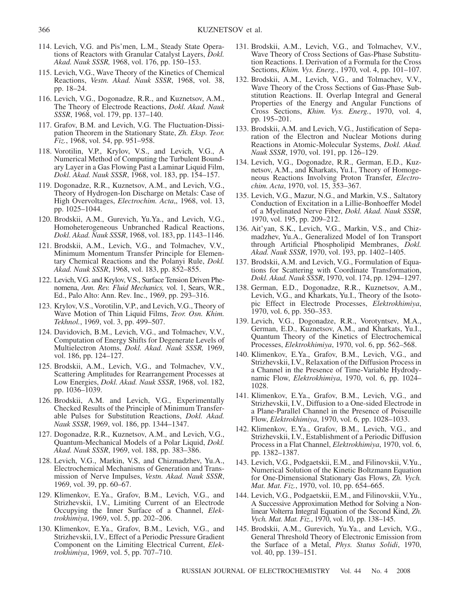- 114. Levich, V.G. and Pis'men, L.M., Steady State Operations of Reactors with Granular Catalyst Layers, *Dokl. Akad. Nauk SSSR,* 1968, vol. 176, pp. 150–153.
- 115. Levich, V.G., Wave Theory of the Kinetics of Chemical Reactions, *Vestn. Akad. Nauk SSSR*, 1968, vol. 38, pp. 18–24.
- 116. Levich, V.G., Dogonadze, R.R., and Kuznetsov, A.M., The Theory of Electrode Reactions, *Dokl. Akad. Nauk SSSR*, 1968, vol. 179, pp. 137–140.
- 117. Grafov, B.M. and Levich, V.G. The Fluctuation-Dissipation Theorem in the Stationary State, *Zh. Eksp. Teor. Fiz.*, 1968, vol. 54, pp. 951–958.
- 118. Vorotilin, V.P., Krylov, V.S., and Levich, V.G., A Numerical Method of Computing the Turbulent Boundary Layer in a Gas Flowing Past a Laminar Liquid Film, *Dokl. Akad. Nauk SSSR*, 1968, vol. 183, pp. 154–157.
- 119. Dogonadze, R.R., Kuznetsov, A.M., and Levich, V.G., Theory of Hydrogen-Ion Discharge on Metals: Case of High Overvoltages, *Electrochim. Acta*,, 1968, vol. 13, pp. 1025–1044.
- 120. Brodskii, A.M., Gurevich, Yu.Ya., and Levich, V.G., Homoheterogeneous Unbranched Radical Reactions, *Dokl. Akad. Nauk SSSR*, 1968, vol. 183, pp. 1143–1146.
- 121. Brodskii, A.M., Levich, V.G., and Tolmachev, V.V., Minimum Momentum Transfer Principle for Elementary Chemical Reactions and the Polanyi Rule, *Dokl. Akad. Nauk SSSR*, 1968, vol. 183, pp. 852–855.
- 122. Levich, V.G. and Krylov, V.S., Surface Tension Driven Phenomena, *Ann. Rev. Fluid Mechanics,* vol. 1, Sears, W.R., Ed., Palo Alto: Ann. Rev. Inc., 1969, pp. 293–316.
- 123. Krylov, V.S., Vorotilin, V.P., and Levich, V.G., Theory of Wave Motion of Thin Liquid Films, *Teor. Osn. Khim. Tekhnol.*, 1969, vol. 3, pp. 499–507.
- 124. Davidovich, B.M., Levich, V.G., and Tolmachev, V.V., Computation of Energy Shifts for Degenerate Levels of Multielectron Atoms, *Dokl. Akad. Nauk SSSR,* 1969, vol. 186, pp. 124–127.
- 125. Brodskii, A.M., Levich, V.G., and Tolmachev, V.V., Scattering Amplitudes for Rearrangement Processes at Low Energies, *Dokl. Akad. Nauk SSSR*, 1968, vol. 182, pp. 1036–1039.
- 126. Brodskii, A.M. and Levich, V.G., Experimentally Checked Results of the Principle of Minimum Transferable Pulses for Substitution Reactions, *Dokl. Akad. Nauk SSSR*, 1969, vol. 186, pp. 1344–1347.
- 127. Dogonadze, R.R., Kuznetsov, A.M., and Levich, V.G., Quantum-Mechanical Models of a Polar Liquid, *Dokl. Akad. Nauk SSSR*, 1969, vol. 188, pp. 383–386.
- 128. Levich, V.G., Markin, V.S, and Chizmadzhev, Yu.A., Electrochemical Mechanisms of Generation and Transmission of Nerve Impulses, *Vestn. Akad. Nauk SSSR*, 1969, vol. 39, pp. 60–67.
- 129. Klimenkov, E.Ya., Grafov, B.M., Levich, V.G., and Strizhevskii, I.V., Limiting Current of an Electrode Occupying the Inner Surface of a Channel, *Elektrokhimiya*, 1969, vol. 5, pp. 202–206.
- 130. Klimenkov, E.Ya., Grafov, B.M., Levich, V.G., and Strizhevskii, I.V., Effect of a Periodic Pressure Gradient Component on the Limiting Electrical Current, *Elektrokhimiya*, 1969, vol. 5, pp. 707–710.
- 131. Brodskii, A.M., Levich, V.G., and Tolmachev, V.V., Wave Theory of Cross Sections of Gas-Phase Substitution Reactions. I. Derivation of a Formula for the Cross Sections, *Khim. Vys. Energ.*, 1970, vol. 4, pp. 101–107.
- 132. Brodskii, A.M., Levich, V.G., and Tolmachev, V.V., Wave Theory of the Cross Sections of Gas-Phase Substitution Reactions. II. Overlap Integral and General Properties of the Energy and Angular Functions of Cross Sections, *Khim. Vys. Energ.*, 1970, vol. 4, pp. 195–201.
- 133. Brodskii, A.M. and Levich, V.G., Justification of Separation of the Electron and Nuclear Motions during Reactions in Atomic-Molecular Systems, *Dokl. Akad. Nauk SSSR*, 1970, vol. 191, pp. 126–129.
- 134. Levich, V.G., Dogonadze, R.R., German, E.D., Kuznetsov, A.M., and Kharkats, Yu.I., Theory of Homogeneous Reactions Involving Proton Transfer, *Electrochim. Acta*, 1970, vol. 15, 353–367.
- 135. Levich, V.G., Mazur, N.G., and Markin, V.S., Saltatory Conduction of Excitation in a Lillie-Bonhoeffer Model of a Myelinated Nerve Fiber, *Dokl. Akad. Nauk SSSR*, 1970, vol. 195, pp. 209–212.
- 136. Ait'yan, S.K., Levich, V.G., Markin, V.S., and Chizmadzhev, Yu.A., Generalized Model of Ion Transport through Artificial Phospholipid Membranes, *Dokl. Akad. Nauk SSSR*, 1970, vol. 193, pp. 1402–1405.
- 137. Brodskii, A.M. and Levich, V.G., Formulation of Equations for Scattering with Coordinate Transformation, *Dokl. Akad. Nauk SSSR*, 1970, vol. 174, pp. 1294–1297.
- 138. German, E.D., Dogonadze, R.R., Kuznetsov, A.M., Levich, V.G., and Kharkats, Yu.I., Theory of the Isotopic Effect in Electrode Processes, *Elektrokhimiya*, 1970, vol. 6, pp. 350–353.
- 139. Levich, V.G., Dogonadze, R.R., Vorotyntsev, M.A., German, E.D., Kuznetsov, A.M., and Kharkats, Yu.I., Quantum Theory of the Kinetics of Electrochemical Processes, *Elektrokhimiya*, 1970, vol. 6, pp. 562–568.
- 140. Klimenkov, E.Ya., Grafov, B.M., Levich, V.G., and Strizhevskii, I.V., Relaxation of the Diffusion Process in a Channel in the Presence of Time-Variable Hydrodynamic Flow, *Elektrokhimiya*, 1970, vol. 6, pp. 1024– 1028.
- 141. Klimenkov, E.Ya., Grafov, B.M., Levich, V.G., and Strizhevskii, I.V., Diffusion to a One-sided Electrode in a Plane-Parallel Channel in the Presence of Poiseuille Flow, *Elektrokhimiya*, 1970, vol. 6, pp. 1028–1033.
- 142. Klimenkov, E.Ya., Grafov, B.M., Levich, V.G., and Strizhevskii, I.V., Establishment of a Periodic Diffusion Process in a Flat Channel, *Elektrokhimiya*, 1970, vol. 6, pp. 1382–1387.
- 143. Levich, V.G., Podgaetskii, E.M., and Filinovskii, V.Yu., Numerical Solution of the Kinetic Boltzmann Equation for One-Dimensional Stationary Gas Flows, *Zh. Vych. Mat. Mat. Fiz.*, 1970, vol. 10, pp. 654–665.
- 144. Levich, V.G., Podgaetskii, E.M., and Filinovskii, V.Yu., A Successive Approximation Method for Solving a Nonlinear Volterra Integral Equation of the Second Kind, *Zh. Vych. Mat. Mat. Fiz.*, 1970, vol. 10, pp. 138–145.
- 145. Brodskii, A.M., Gurevich, Yu.Ya., and Levich, V.G., General Threshold Theory of Electronic Emission from the Surface of a Metal, *Phys. Status Solidi*, 1970, vol. 40, pp. 139–151.